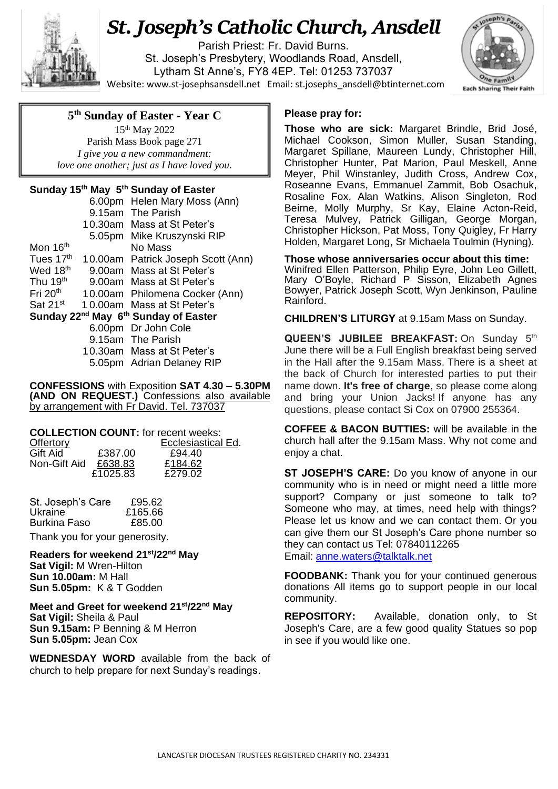

## *St. Joseph's Catholic Church, Ansdell*

Parish Priest: Fr. David Burns. St. Joseph's Presbytery, Woodlands Road, Ansdell, Lytham St Anne's, FY8 4EP. Tel: 01253 737037 Website: [www.st-josephsansdell.net](http://www.st-josephsansdell.net/) Email: [st.josephs\\_ansdell@btinternet.com](mailto:st.josephs_ansdell@btinternet.com)



## **5 th Sunday of Easter - Year C**

 *love one another; just as I have loved you.*15th May 2022 Parish Mass Book page 271 *I give you a new commandment:*

## **Sunday 15th May 5 th Sunday of Easter**

|                                                              |  | 6.00pm Helen Mary Moss (Ann)       |  |
|--------------------------------------------------------------|--|------------------------------------|--|
|                                                              |  | 9.15am The Parish                  |  |
|                                                              |  | 10.30am Mass at St Peter's         |  |
|                                                              |  | 5.05pm Mike Kruszynski RIP         |  |
| Mon 16 <sup>th</sup>                                         |  | No Mass                            |  |
| Tues 17th                                                    |  | 10.00am Patrick Joseph Scott (Ann) |  |
| Wed 18 <sup>th</sup>                                         |  | 9.00am Mass at St Peter's          |  |
| Thu 19 <sup>th</sup>                                         |  | 9.00am Mass at St Peter's          |  |
| Fri 20 <sup>th</sup>                                         |  | 10.00am Philomena Cocker (Ann)     |  |
| $Sat$ 21 $st$                                                |  | 10.00am Mass at St Peter's         |  |
| Sunday 22 <sup>nd</sup> May 6 <sup>th</sup> Sunday of Easter |  |                                    |  |
|                                                              |  | 6.00pm Dr John Cole                |  |
|                                                              |  | 9.15am The Parish                  |  |
|                                                              |  | 10.30am Mass at St Peter's         |  |
|                                                              |  | 5.05pm Adrian Delaney RIP          |  |

**CONFESSIONS** with Exposition **SAT 4.30 – 5.30PM (AND ON REQUEST.)** Confessions also available by arrangement with Fr David. Tel. 737037

| <b>COLLECTION COUNT:</b> for recent weeks: |          |                    |  |  |
|--------------------------------------------|----------|--------------------|--|--|
| Offertory                                  |          | Ecclesiastical Ed. |  |  |
| Gift Aid                                   | £387.00  | £94.40             |  |  |
| Non-Gift Aid                               | £638.83  | £184.62            |  |  |
|                                            | £1025.83 | £279.02            |  |  |

| St. Joseph's Care | £95.62  |
|-------------------|---------|
| Ukraine           | £165.66 |
| Burkina Faso      | £85.00  |

Thank you for your generosity.

**Readers for weekend 21st/22nd May Sat Vigil:** M Wren-Hilton **Sun 10.00am:** M Hall **Sun 5.05pm:** K & T Godden

**Meet and Greet for weekend 21st/22nd May Sat Vigil:** Sheila & Paul **Sun 9.15am:** P Benning & M Herron **Sun 5.05pm:** Jean Cox

**WEDNESDAY WORD** available from the back of church to help prepare for next Sunday's readings.

## **Please pray for:**

**Those who are sick: Margaret Brindle, Brid José,** Michael Cookson, Simon Muller, Susan Standing, Margaret Spillane, Maureen Lundy, Christopher Hill, Christopher Hunter, Pat Marion, Paul Meskell, Anne Meyer, Phil Winstanley, Judith Cross, Andrew Cox, Roseanne Evans, Emmanuel Zammit, Bob Osachuk, Rosaline Fox, Alan Watkins, Alison Singleton, Rod Beirne, Molly Murphy, Sr Kay, Elaine Acton-Reid, Teresa Mulvey, Patrick Gilligan, George Morgan, Christopher Hickson, Pat Moss, Tony Quigley, Fr Harry Holden, Margaret Long, Sr Michaela Toulmin (Hyning).

**Those whose anniversaries occur about this time:** Winifred Ellen Patterson, Philip Eyre, John Leo Gillett, Mary O'Boyle, Richard P Sisson, Elizabeth Agnes Bowyer, Patrick Joseph Scott, Wyn Jenkinson, Pauline Rainford.

**CHILDREN'S LITURGY** at 9.15am Mass on Sunday.

**QUEEN'S JUBILEE BREAKFAST:** On Sunday 5<sup>th</sup> June there will be a Full English breakfast being served in the Hall after the 9.15am Mass. There is a sheet at the back of Church for interested parties to put their name down. **It's free of charge**, so please come along and bring your Union Jacks! If anyone has any questions, please contact Si Cox on 07900 255364.

**COFFEE & BACON BUTTIES:** will be available in the church hall after the 9.15am Mass. Why not come and enjoy a chat.

**ST JOSEPH'S CARE:** Do you know of anyone in our community who is in need or might need a little more support? Company or just someone to talk to? Someone who may, at times, need help with things? Please let us know and we can contact them. Or you can give them our St Joseph's Care phone number so they can contact us Tel: 07840112265 Email: [anne.waters@talktalk.net](mailto:anne.waters@talktalk.net)

**FOODBANK:** Thank you for your continued generous donations All items go to support people in our local community.

**REPOSITORY:** Available, donation only, to St Joseph's Care, are a few good quality Statues so pop in see if you would like one.